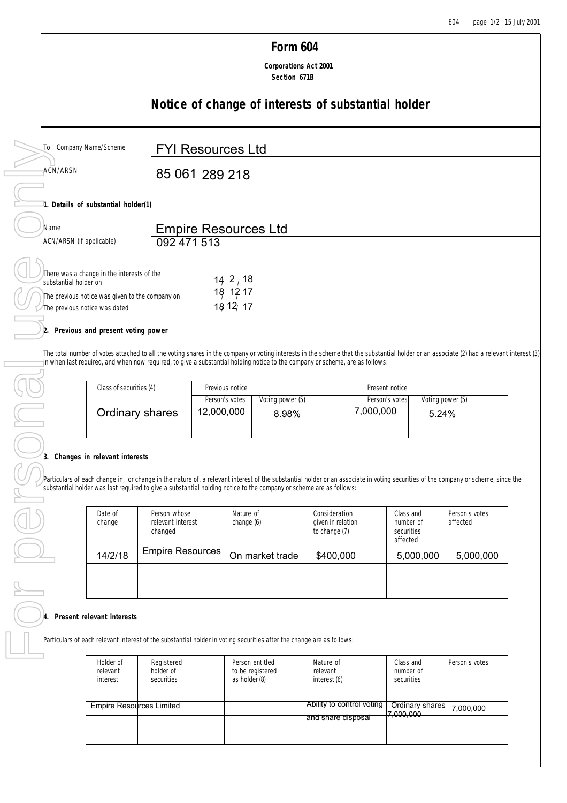## **Form 604**

 **Corporations Act 2001 Section 671B**

# **Notice of change of interests of substantial holder**

| To Company Name/Scheme                                                                                                                                  | <b>FYI Resources Ltd</b>        |
|---------------------------------------------------------------------------------------------------------------------------------------------------------|---------------------------------|
| ACN/ARSN                                                                                                                                                | 85 061 289 218                  |
| 1. Details of substantial holder(1)                                                                                                                     |                                 |
| Name                                                                                                                                                    | <b>Empire Resources Ltd</b>     |
| ACN/ARSN (if applicable)                                                                                                                                | 092 471 513                     |
| There was a change in the interests of the<br>substantial holder on<br>The previous notice was given to the company on<br>The previous notice was dated | 142/18<br>18 12 17<br>18 12/ 17 |

### **2. Previous and present voting power**

The total number of votes attached to all the voting shares in the company or voting interests in the scheme that the substantial holder or an associate (2) had a relevant interest (3) in when last required, and when now required, to give a substantial holding notice to the company or scheme, are as follows:

| Class of securities (4) | Previous notice |                  | Present notice |                  |
|-------------------------|-----------------|------------------|----------------|------------------|
|                         | Person's votes  | Voting power (5) | Person's votes | Voting power (5) |
| Ordinary shares         | 12,000,000      | 8.98%            | 7,000,000      | 5.24%            |
|                         |                 |                  |                |                  |

#### **3. Changes in relevant interests**

Particulars of each change in, or change in the nature of, a relevant interest of the substantial holder or an associate in voting securities of the company or scheme, since the substantial holder was last required to give substantial holder was last required to give a substantial holding notice to the company or scheme are as follows:

|                                    | Ordinary shares                                                                                          | 12,000,000 |                              | 8.98%                               |                                                     | 7,000,000 |                                      |                 | 5.24%                                                                                                                                                          |
|------------------------------------|----------------------------------------------------------------------------------------------------------|------------|------------------------------|-------------------------------------|-----------------------------------------------------|-----------|--------------------------------------|-----------------|----------------------------------------------------------------------------------------------------------------------------------------------------------------|
|                                    |                                                                                                          |            |                              |                                     |                                                     |           |                                      |                 |                                                                                                                                                                |
| s in relevant interests            | nolder was last required to give a substantial holding notice to the company or scheme are as follows:   |            |                              |                                     |                                                     |           |                                      |                 | feach change in, or change in the nature of, a relevant interest of the substantial holder or an associate in voting securities of the company or scheme, sing |
| Date of<br>change                  | Person whose<br>relevant interest<br>changed                                                             |            | Nature of<br>change (6)      |                                     | Consideration<br>given in relation<br>to change (7) |           | Class and<br>securities<br>affected  | number of       | Person's votes<br>affected                                                                                                                                     |
| <b>Empire Resources</b><br>14/2/18 |                                                                                                          |            | \$400,000<br>On market trade |                                     |                                                     | 5,000,000 |                                      | 5,000,000       |                                                                                                                                                                |
|                                    |                                                                                                          |            |                              |                                     |                                                     |           |                                      |                 |                                                                                                                                                                |
|                                    |                                                                                                          |            |                              |                                     |                                                     |           |                                      |                 |                                                                                                                                                                |
| relevant interests                 | f each relevant interest of the substantial holder in voting securities after the change are as follows: |            |                              |                                     |                                                     |           |                                      |                 |                                                                                                                                                                |
| Holder of<br>relevant<br>interest  | Registered<br>holder of<br>securities                                                                    |            | as holder (8)                | Person entitled<br>to be registered | Nature of<br>relevant<br>interest (6)               |           | Class and<br>number of<br>securities |                 | Person's votes                                                                                                                                                 |
| <b>Empire Resources Limited</b>    |                                                                                                          |            |                              |                                     | Ability to control voting<br>and chara dienosal     |           | 7,000,000                            | Ordinary shares | 7,000,000                                                                                                                                                      |

#### **4. Present relevant interests**

Particulars of each relevant interest of the substantial holder in voting securities after the change are as follows:

| Holder of<br>relevant<br>interest | Registered<br>holder of<br>securities | Person entitled<br>to be registered<br>as holder (8) | Nature of<br>relevant<br>interest (6) | Class and<br>number of<br>securities | Person's votes |
|-----------------------------------|---------------------------------------|------------------------------------------------------|---------------------------------------|--------------------------------------|----------------|
| Empire Resources Limited          |                                       |                                                      | Ability to control voting             | Ordinary shares<br>7,000,000         | 7,000,000      |
|                                   |                                       |                                                      | and share disposal                    |                                      |                |
|                                   |                                       |                                                      |                                       |                                      |                |